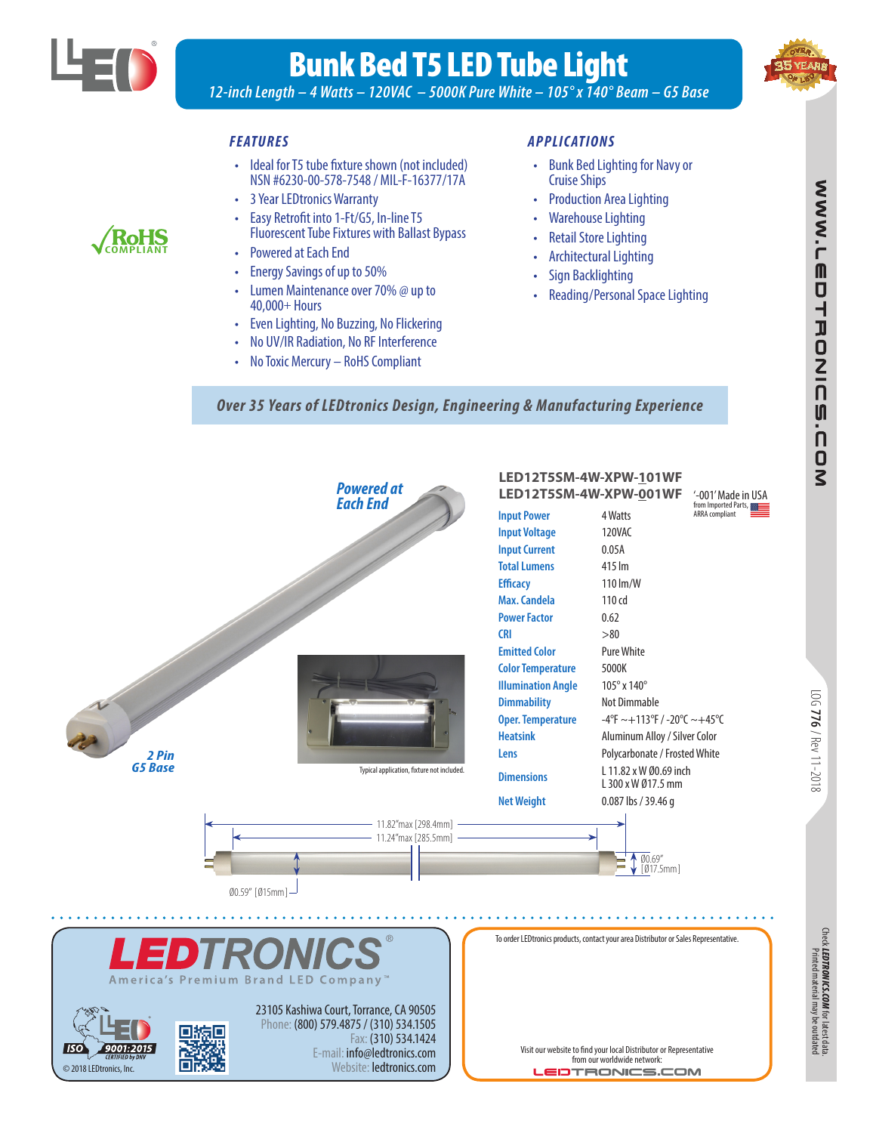

**COMPLIANT**

# Bunk Bed T5 LED Tube Light

*12-inch Length – 4 Watts – 120VAC – 5000K Pure White – 105° x 140° Beam – G5 Base*

#### *FEATURES*

- Ideal for T5 tube fixture shown (not included) NSN #6230-00-578-7548 / MIL-F-16377/17A
- 3 Year LEDtronics Warranty
- Easy Retrofit into 1-Ft/G5, In-line T5 Fluorescent Tube Fixtures with Ballast Bypass
- Powered at Each End
- Energy Savings of up to 50%
- Lumen Maintenance over 70% @ up to 40,000+ Hours
- Even Lighting, No Buzzing, No Flickering
- No UV/IR Radiation, No RF Interference
- No Toxic Mercury RoHS Compliant

#### *APPLIC ATIONS*

- Bunk Bed Lighting for Navy or Cruise Ships
- Production Area Lighting
- Warehouse Lighting
- **Retail Store Lighting**
- Architectural Lighting
- Sign Backlighting
- Reading/Personal Space Lighting

*Over 35 Years of LEDtronics Design, Engineering & Manufacturing Experience*



*LEDTRONICS.COM*

for latest data.